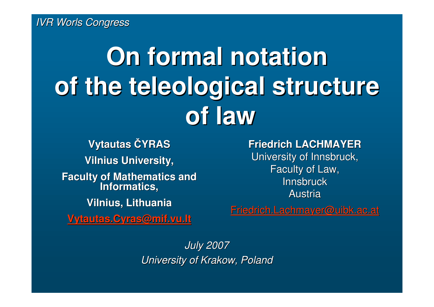# **On formal notation of the teleological structureof law**

**Vytautas** Č**YRAS Vilnius University, Faculty of Mathematics and Informatics, Vilnius, Lithuania**

**Vytautas.Cyras@mif.vu.lt**

**Friedrich LACHMAYER** University of Innsbruck, Faculty of Law, **Innsbruck** Austria

Friedrich.Lachmayer@uibk.ac.at

July 2007University of Krakow, Poland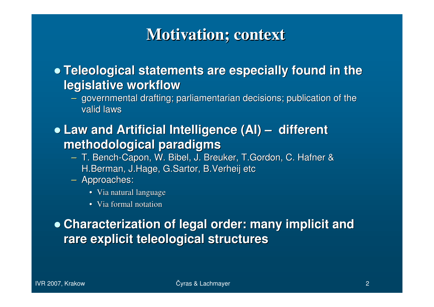#### **Motivation; context**

- **Teleological statements are especially found in the legislative workflow**
	- governmental drafting; parliamentarian decisions; publication of the valid laws
- **Law and Artificial Intelligence (AI) – different methodological paradigms**
	- T. Bench-Capon, W. Bibel, J. Breuker, T.Gordon, C. Hafner & H.Berman, J.Hage, G.Sartor, B.Verheij etc
	- Approaches:
		- Via natural language
		- Via formal notation

 **Characterization of legal order: many implicit and rare explicit teleological structures**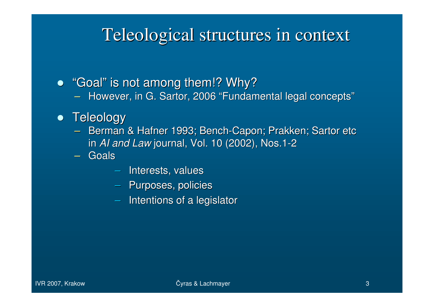#### Teleological structures in context

 $\bullet \;$  "Goal" is not among them!? Why?

– HOWAVAR IN G SAMOR ZUUK FUNDA  $-$  However, in G. Sartor, 2006 "Fundamental legal concepts"

#### **•** Teleology

- Berman & Hafner 1993; Bench -Capon; Prakken; Sartor etc in *AI and Law* journal, Vol. 10 (2002), Nos.1<br>Caala -2
- – Goals
	- Interests, values
	- Purposes, policies
	- $\leftarrow$ Intentions of a legislator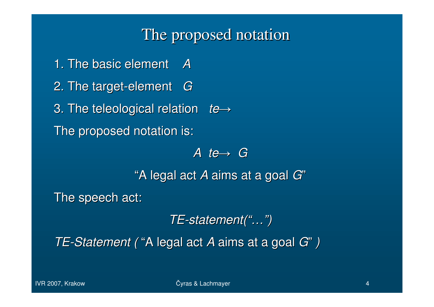#### The proposed notation

1. The basic element A2. The target-element  $\,$   $G$ 3. The teleological relation *te*→

The proposed notation is:

A te→G

"A legal act A aims at a goal G"

The speech act:

TE-statement("…")

TE-Statement ("A legal act A aims at a goal G")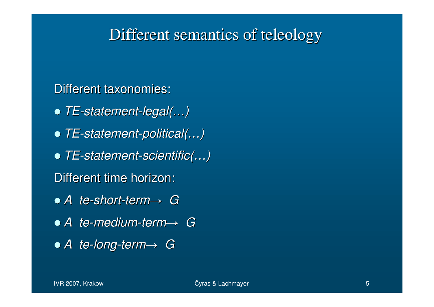#### Different semantics of teleology

Different taxonomies:

- TE-statement-legal(…)
- TE-statement-political(…)
- TE-statement-scientific(…)
- Different time horizon:
- A te-short-term<sup>→</sup> <sup>G</sup>
- A te-medium-term<sup>→</sup> <sup>G</sup>
- $\bullet$  A te-long-term $\rightarrow$  G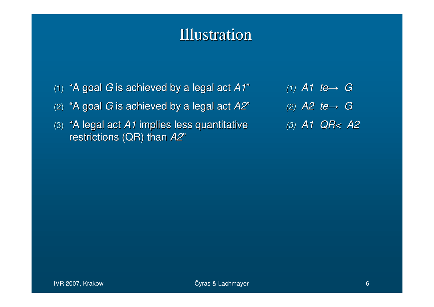#### Illustration

- $(1)$  "A goal  $G$  is achieved by a legal act A1"
- (2) "A goal  $G$  is achieved by a legal act  $A2$ "
- (3) "A legal act A1 implies less quantitative restrictions (QR) than  $A2$ "
- (1) A1 te<sup>→</sup> <sup>G</sup> (2) A2 te<sup>→</sup> <sup>G</sup> (3) A1 QR< A2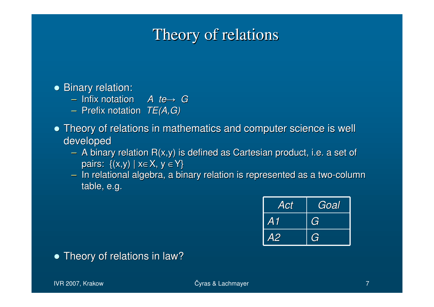#### Theory of relations

#### • Binary relation:

- Infix notation *A te→ G*<br>– Prefix notation *TF(A G*)
- Prefix notation  $TE(A, G)$
- Theory of relations in mathematics and computer science is well developed
	- A binary relation R(x,y) is defined as Cartesian product, i.e. a set of pairs:  $\{(x,y) \mid x \in X, y \in Y\}$
	- In relational algebra, a binary relation is represented as a two-column table, e.g.

| $\overline{\mathcal{A}ct}$ | Goal |
|----------------------------|------|
| A1                         | G    |
| <b>A2</b>                  | G    |

#### • Theory of relations in law?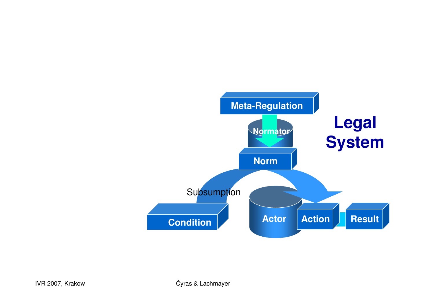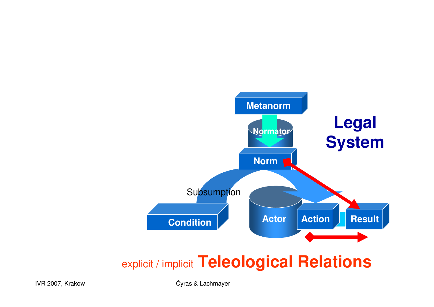

#### explicit / implicit **Teleological Relations**

<sup>Č</sup>yras & Lachmayer <sup>9</sup> <sup>Č</sup>yras & Lachmayer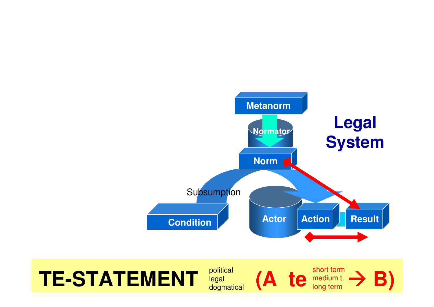

## $T$ **E-STATEMENT**  $_{\text{logal}}^{\text{pontical}}$  (A te  $_{\text{logdertim}}^{\text{ponticall}}$ )

political<br>legal **(A te** medium t.<br>dogmatical **(A te** long term  $\begin{array}{c} \text{political} \ \text{legal} \ \text{dogmatical} \end{array} \quad (\mathbf{A} \ \ \mathbf{te} \ \begin{array}{c} \text{short term} \ \text{medium t.} \ \text{long term} \end{array} \mathbf{B})$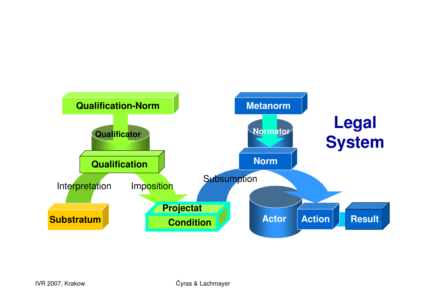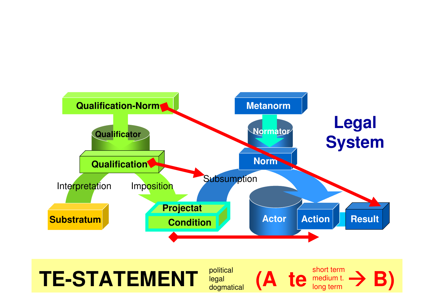

## $T$ **E-STATEMENT**  $_{\text{logal}}^{\text{pontical}}$  (A te  $_{\text{logdertim}}^{\text{ponticall}}$ )

political<br>legal **(A te** medium t.<br>dogmatical **(A te** long term  $\begin{array}{c} \text{political} \ \text{legal} \ \text{dogmatical} \end{array} \quad (\mathbf{A} \ \ \mathbf{te} \ \begin{array}{c} \text{short term} \ \text{medium t.} \ \text{long term} \end{array} \mathbf{B})$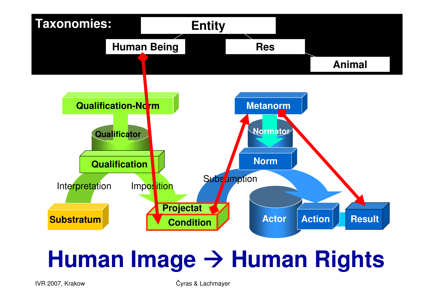

# **Human Image** - **Human Rights**

<sup>Č</sup>yras & Lachmayer <sup>13</sup> <sup>Č</sup>yras & Lachmayer